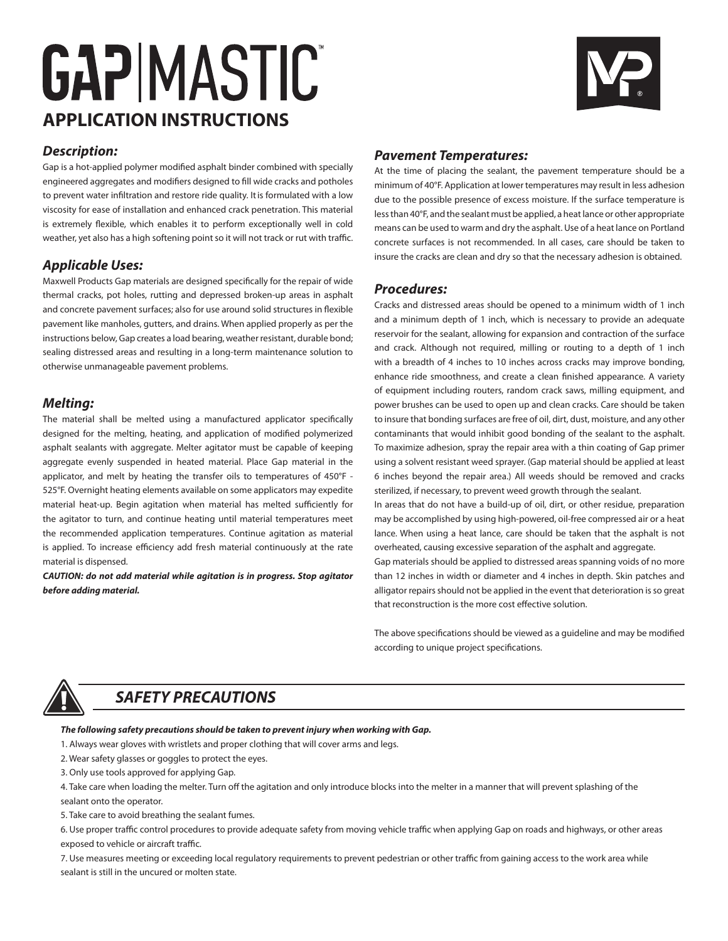# **GAPIMASTIC APPLICATION INSTRUCTIONS**

## *Description:*

Gap is a hot-applied polymer modified asphalt binder combined with specially engineered aggregates and modifiers designed to fill wide cracks and potholes to prevent water infiltration and restore ride quality. Itis formulated with a low viscosity for ease of installation and enhanced crack penetration. This material is extremely flexible, which enables it to perform exceptionally well in cold weather, yet also has a high softening point so it will not track or rut with traffic.

## *Applicable Uses:*

Maxwell Products Gap materials are designed specifically for the repair of wide thermal cracks, pot holes, rutting and depressed broken-up areas in asphalt and concrete pavement surfaces; also for use around solid structures in flexible pavement like manholes, gutters, and drains. When applied properly as per the instructions below, Gap creates a load bearing, weather resistant, durable bond; sealing distressed areas and resulting in a long-term maintenance solution to otherwise unmanageable pavement problems.

## *Melting:*

The material shall be melted using a manufactured applicator specifically designed for the melting, heating, and application of modified polymerized asphalt sealants with aggregate. Melter agitator must be capable of keeping aggregate evenly suspended in heated material. Place Gap material in the applicator, and melt by heating the transfer oils to temperatures of 450°F - 525°F. Overnight heating elements available on some applicators may expedite material heat-up. Begin agitation when material has melted sufficiently for the agitator to turn, and continue heating until material temperatures meet the recommended application temperatures. Continue agitation as material is applied. To increase efficiency add fresh material continuously at the rate material is dispensed.

*CAUTION: do not add material while agitation is in progress. Stop agitator before adding material.*



### *Pavement Temperatures:*

At the time of placing the sealant, the pavement temperature should be a minimum of 40°F. Application at lower temperatures may result in less adhesion due to the possible presence of excess moisture. If the surface temperature is less than 40°F, and the sealant must be applied, a heat lance or other appropriate means can be used to warm and dry the asphalt. Use of a heat lance on Portland concrete surfaces is not recommended. In all cases, care should be taken to insure the cracks are clean and dry so that the necessary adhesion is obtained.

#### *Procedures:*

Cracks and distressed areas should be opened to a minimum width of 1 inch and a minimum depth of 1 inch, which is necessary to provide an adequate reservoir for the sealant, allowing for expansion and contraction of the surface and crack. Although not required, milling or routing to a depth of 1 inch with a breadth of 4 inches to 10 inches across cracks may improve bonding, enhance ride smoothness, and create a clean finished appearance. A variety of equipment including routers, random crack saws, milling equipment, and power brushes can be used to open up and clean cracks. Care should be taken to insure that bonding surfaces are free of oil, dirt, dust, moisture, and any other contaminants that would inhibit good bonding of the sealant to the asphalt. To maximize adhesion, spray the repair area with a thin coating of Gap primer using a solvent resistant weed sprayer. (Gap material should be applied at least 6 inches beyond the repair area.) All weeds should be removed and cracks sterilized, if necessary, to prevent weed growth through the sealant.

In areas that do not have a build-up of oil, dirt, or other residue, preparation may be accomplished by using high-powered, oil-free compressed air or a heat lance. When using a heat lance, care should be taken that the asphalt is not overheated, causing excessive separation of the asphalt and aggregate.

Gap materials should be applied to distressed areas spanning voids of no more than 12 inches in width or diameter and 4 inches in depth. Skin patches and alligator repairs should not be applied in the event that deterioration is so great that reconstruction is the more cost effective solution.

The above specifications should be viewed as a guideline and may be modified according to unique project specifications.



## *SAFETY PRECAUTIONS*

*The following safety precautions should be taken to prevent injury when working with Gap.*

1. Always wear gloves with wristlets and proper clothing that will cover arms and legs.

- 2. Wear safety glasses or goggles to protect the eyes.
- 3. Only use tools approved for applying Gap.

4. Take care when loading the melter. Turn off the agitation and only introduce blocks into the melter in a manner that will prevent splashing of the sealant onto the operator.

5. Take care to avoid breathing the sealant fumes.

6. Use proper traffic control procedures to provide adequate safety from moving vehicle traffic when applying Gap on roads and highways, or other areas exposed to vehicle or aircraft traffic.

7. Use measures meeting or exceeding local regulatory requirements to prevent pedestrian or other traffic from gaining access to the work area while sealant is still in the uncured or molten state.